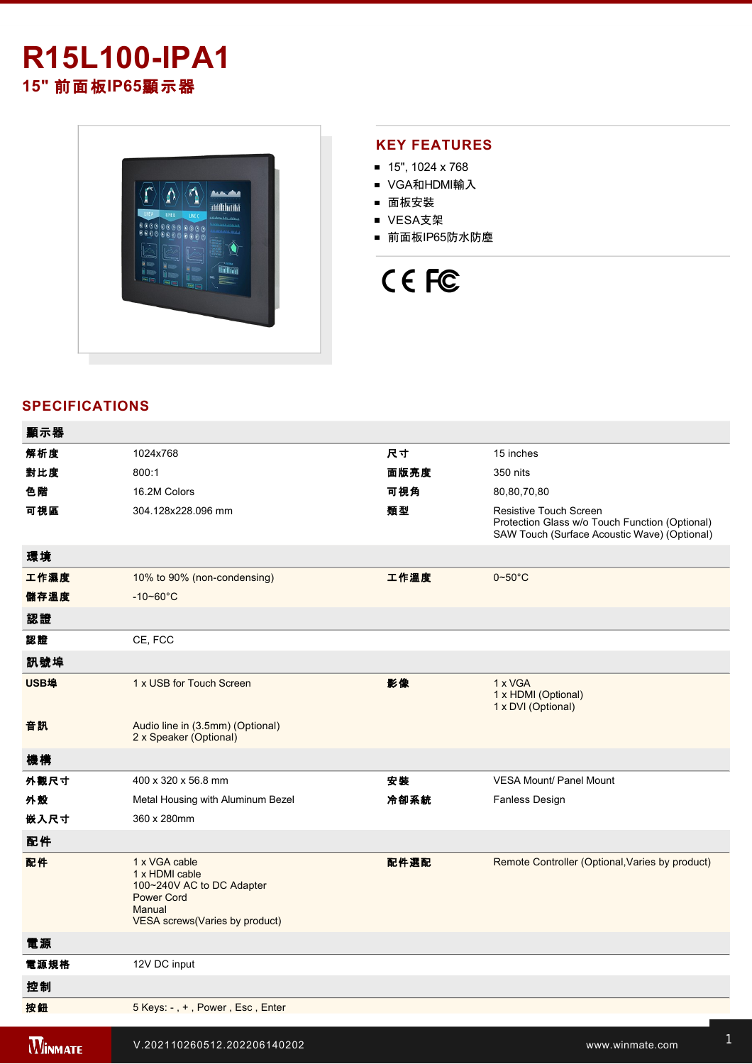# **R15L100-IPA1 15"** 前面板**IP65**顯示器



#### **KEY FEATURES**

- $\blacksquare$  15", 1024 x 768
- VGA和HDMI輸入
- 面板安裝
- VESA支架
- 前面板IP65防水防塵

# CE FC

## **SPECIFICATIONS**

| 顯示器            |                                                                                                                                       |      |                                                                                                                          |
|----------------|---------------------------------------------------------------------------------------------------------------------------------------|------|--------------------------------------------------------------------------------------------------------------------------|
| 解析度            | 1024x768                                                                                                                              | 尺寸   | 15 inches                                                                                                                |
| 對比度            | 800:1                                                                                                                                 | 面版亮度 | 350 nits                                                                                                                 |
| 色階             | 16.2M Colors                                                                                                                          | 可視角  | 80,80,70,80                                                                                                              |
| 可視區            | 304.128x228.096 mm                                                                                                                    | 類型   | Resistive Touch Screen<br>Protection Glass w/o Touch Function (Optional)<br>SAW Touch (Surface Acoustic Wave) (Optional) |
| 環境             |                                                                                                                                       |      |                                                                                                                          |
| 工作濕度           | 10% to 90% (non-condensing)                                                                                                           | 工作溫度 | $0 - 50$ °C                                                                                                              |
| 儲存溫度           | $-10 - 60^{\circ}$ C                                                                                                                  |      |                                                                                                                          |
| 認證             |                                                                                                                                       |      |                                                                                                                          |
| 認證             | CE, FCC                                                                                                                               |      |                                                                                                                          |
| 訊號埠            |                                                                                                                                       |      |                                                                                                                          |
| <b>USB埠</b>    | 1 x USB for Touch Screen                                                                                                              | 影像   | 1 x VGA<br>1 x HDMI (Optional)<br>1 x DVI (Optional)                                                                     |
| 音訊             | Audio line in (3.5mm) (Optional)<br>2 x Speaker (Optional)                                                                            |      |                                                                                                                          |
| 機構             |                                                                                                                                       |      |                                                                                                                          |
| 外觀尺寸           | 400 x 320 x 56.8 mm                                                                                                                   | 安装   | <b>VESA Mount/ Panel Mount</b>                                                                                           |
| 外殼             | Metal Housing with Aluminum Bezel                                                                                                     | 冷卻系統 | Fanless Design                                                                                                           |
| 嵌入尺寸           | 360 x 280mm                                                                                                                           |      |                                                                                                                          |
| 配件             |                                                                                                                                       |      |                                                                                                                          |
| 配件             | 1 x VGA cable<br>1 x HDMI cable<br>100~240V AC to DC Adapter<br><b>Power Cord</b><br>Manual<br><b>VESA</b> screws (Varies by product) | 配件選配 | Remote Controller (Optional, Varies by product)                                                                          |
| 電源             |                                                                                                                                       |      |                                                                                                                          |
| 電源規格           | 12V DC input                                                                                                                          |      |                                                                                                                          |
| 控制             |                                                                                                                                       |      |                                                                                                                          |
| 按鈕             | 5 Keys: -, +, Power, Esc, Enter                                                                                                       |      |                                                                                                                          |
| <b>WINMATE</b> | V.202110260512.202206140202                                                                                                           |      | www.winmate.com                                                                                                          |